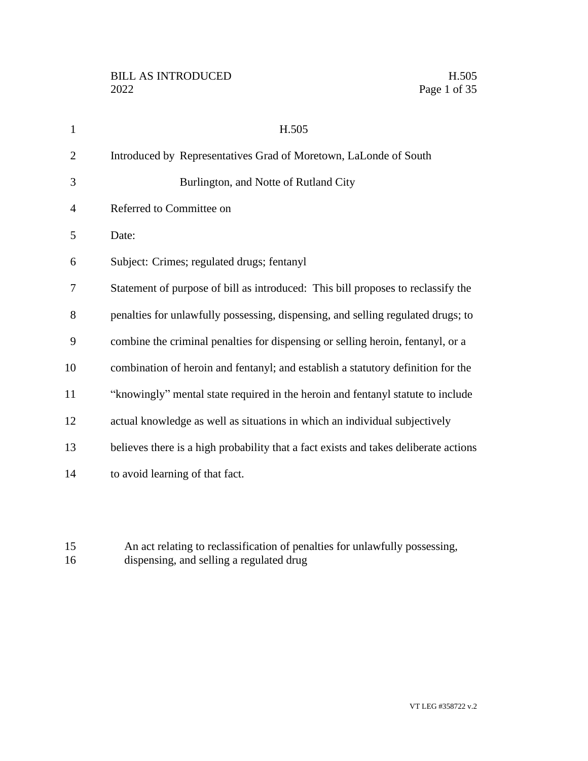| $\mathbf{1}$   | H.505                                                                                |
|----------------|--------------------------------------------------------------------------------------|
| $\overline{2}$ | Introduced by Representatives Grad of Moretown, LaLonde of South                     |
| 3              | Burlington, and Notte of Rutland City                                                |
| $\overline{4}$ | Referred to Committee on                                                             |
| 5              | Date:                                                                                |
| 6              | Subject: Crimes; regulated drugs; fentanyl                                           |
| 7              | Statement of purpose of bill as introduced: This bill proposes to reclassify the     |
| 8              | penalties for unlawfully possessing, dispensing, and selling regulated drugs; to     |
| 9              | combine the criminal penalties for dispensing or selling heroin, fentanyl, or a      |
| 10             | combination of heroin and fentanyl; and establish a statutory definition for the     |
| 11             | "knowingly" mental state required in the heroin and fentanyl statute to include      |
| 12             | actual knowledge as well as situations in which an individual subjectively           |
| 13             | believes there is a high probability that a fact exists and takes deliberate actions |
| 14             | to avoid learning of that fact.                                                      |
|                |                                                                                      |

 An act relating to reclassification of penalties for unlawfully possessing, dispensing, and selling a regulated drug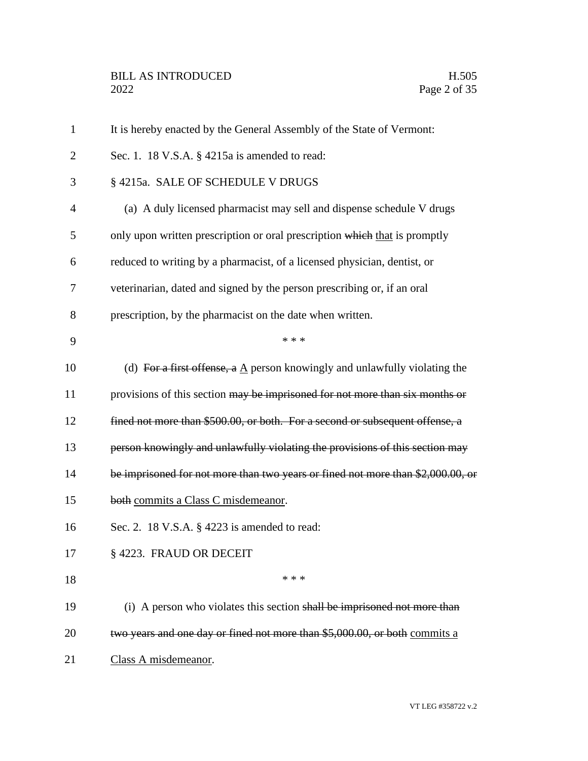| $\mathbf{1}$   | It is hereby enacted by the General Assembly of the State of Vermont:                    |  |  |
|----------------|------------------------------------------------------------------------------------------|--|--|
| $\overline{2}$ | Sec. 1. 18 V.S.A. § 4215a is amended to read:                                            |  |  |
| 3              | § 4215a. SALE OF SCHEDULE V DRUGS                                                        |  |  |
| $\overline{4}$ | (a) A duly licensed pharmacist may sell and dispense schedule V drugs                    |  |  |
| 5              | only upon written prescription or oral prescription which that is promptly               |  |  |
| 6              | reduced to writing by a pharmacist, of a licensed physician, dentist, or                 |  |  |
| 7              | veterinarian, dated and signed by the person prescribing or, if an oral                  |  |  |
| 8              | prescription, by the pharmacist on the date when written.                                |  |  |
| 9              | * * *                                                                                    |  |  |
| 10             | (d) For a first offense, a $\underline{A}$ person knowingly and unlawfully violating the |  |  |
| 11             | provisions of this section may be imprisoned for not more than six months or             |  |  |
| 12             | fined not more than \$500.00, or both. For a second or subsequent offense, a             |  |  |
| 13             | person knowingly and unlawfully violating the provisions of this section may             |  |  |
| 14             | be imprisoned for not more than two years or fined not more than \$2,000.00, or          |  |  |
| 15             | both commits a Class C misdemeanor.                                                      |  |  |
| 16             | Sec. 2. 18 V.S.A. § 4223 is amended to read:                                             |  |  |
| 17             | §4223. FRAUD OR DECEIT                                                                   |  |  |
| 18             | * * *                                                                                    |  |  |
| 19             | (i) A person who violates this section shall be imprisoned not more than                 |  |  |
| 20             | two years and one day or fined not more than \$5,000.00, or both commits a               |  |  |
| 21             | Class A misdemeanor.                                                                     |  |  |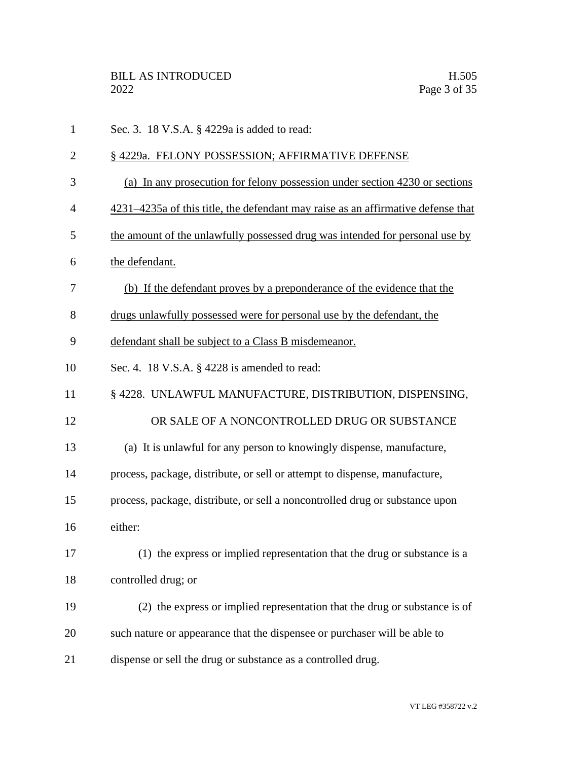| $\mathbf{1}$   | Sec. 3. 18 V.S.A. § 4229a is added to read:                                      |  |  |
|----------------|----------------------------------------------------------------------------------|--|--|
| $\overline{2}$ | §4229a. FELONY POSSESSION; AFFIRMATIVE DEFENSE                                   |  |  |
| 3              | (a) In any prosecution for felony possession under section 4230 or sections      |  |  |
| 4              | 4231–4235a of this title, the defendant may raise as an affirmative defense that |  |  |
| 5              | the amount of the unlawfully possessed drug was intended for personal use by     |  |  |
| 6              | the defendant.                                                                   |  |  |
| 7              | (b) If the defendant proves by a preponderance of the evidence that the          |  |  |
| 8              | drugs unlawfully possessed were for personal use by the defendant, the           |  |  |
| 9              | defendant shall be subject to a Class B misdemeanor.                             |  |  |
| 10             | Sec. 4. 18 V.S.A. § 4228 is amended to read:                                     |  |  |
| 11             | § 4228. UNLAWFUL MANUFACTURE, DISTRIBUTION, DISPENSING,                          |  |  |
| 12             | OR SALE OF A NONCONTROLLED DRUG OR SUBSTANCE                                     |  |  |
| 13             | (a) It is unlawful for any person to knowingly dispense, manufacture,            |  |  |
| 14             | process, package, distribute, or sell or attempt to dispense, manufacture,       |  |  |
| 15             | process, package, distribute, or sell a noncontrolled drug or substance upon     |  |  |
| 16             | either:                                                                          |  |  |
| 17             | (1) the express or implied representation that the drug or substance is a        |  |  |
| 18             | controlled drug; or                                                              |  |  |
| 19             | (2) the express or implied representation that the drug or substance is of       |  |  |
| 20             | such nature or appearance that the dispensee or purchaser will be able to        |  |  |
| 21             | dispense or sell the drug or substance as a controlled drug.                     |  |  |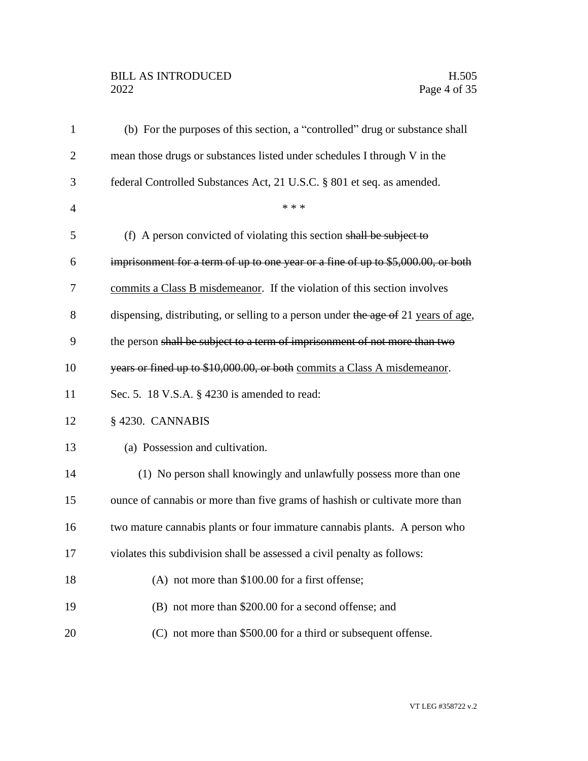# BILL AS INTRODUCED H.505<br>2022 Page 4 of 35

| $\mathbf{1}$   | (b) For the purposes of this section, a "controlled" drug or substance shall       |  |  |
|----------------|------------------------------------------------------------------------------------|--|--|
| 2              | mean those drugs or substances listed under schedules I through V in the           |  |  |
| 3              | federal Controlled Substances Act, 21 U.S.C. § 801 et seq. as amended.             |  |  |
| $\overline{4}$ | * * *                                                                              |  |  |
| 5              | (f) A person convicted of violating this section shall be subject to               |  |  |
| 6              | imprisonment for a term of up to one year or a fine of up to \$5,000.00, or both   |  |  |
| 7              | commits a Class B misdemeanor. If the violation of this section involves           |  |  |
| 8              | dispensing, distributing, or selling to a person under the age of 21 years of age, |  |  |
| 9              | the person shall be subject to a term of imprisonment of not more than two         |  |  |
| 10             | years or fined up to \$10,000.00, or both commits a Class A misdemeanor.           |  |  |
| 11             | Sec. 5. 18 V.S.A. § 4230 is amended to read:                                       |  |  |
| 12             | §4230. CANNABIS                                                                    |  |  |
| 13             | (a) Possession and cultivation.                                                    |  |  |
| 14             | (1) No person shall knowingly and unlawfully possess more than one                 |  |  |
| 15             | ounce of cannabis or more than five grams of hashish or cultivate more than        |  |  |
| 16             | two mature cannabis plants or four immature cannabis plants. A person who          |  |  |
| 17             | violates this subdivision shall be assessed a civil penalty as follows:            |  |  |
| 18             | (A) not more than \$100.00 for a first offense;                                    |  |  |
| 19             | (B) not more than \$200.00 for a second offense; and                               |  |  |
| 20             | (C) not more than \$500.00 for a third or subsequent offense.                      |  |  |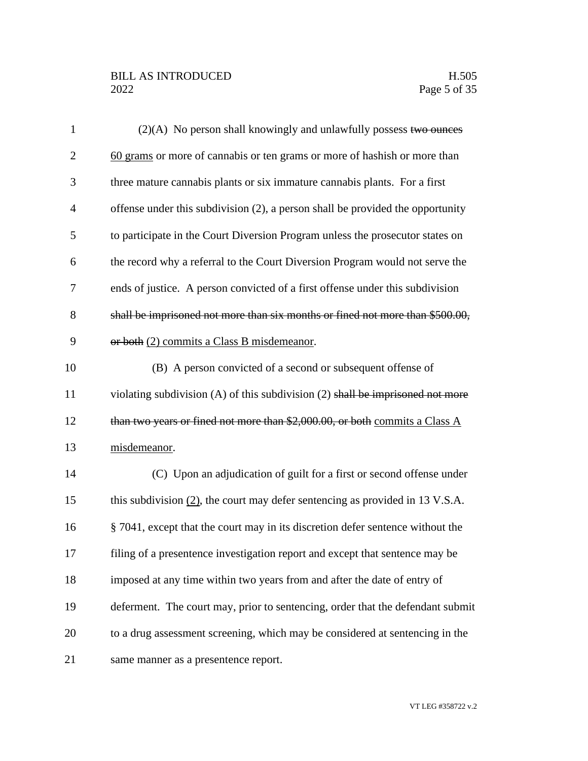# BILL AS INTRODUCED H.505<br>2022 Page 5 of 35

| $\mathbf{1}$   | $(2)(A)$ No person shall knowingly and unlawfully possess two ounces               |  |  |
|----------------|------------------------------------------------------------------------------------|--|--|
| $\overline{2}$ | 60 grams or more of cannabis or ten grams or more of hashish or more than          |  |  |
| 3              | three mature cannabis plants or six immature cannabis plants. For a first          |  |  |
| $\overline{4}$ | offense under this subdivision (2), a person shall be provided the opportunity     |  |  |
| 5              | to participate in the Court Diversion Program unless the prosecutor states on      |  |  |
| 6              | the record why a referral to the Court Diversion Program would not serve the       |  |  |
| 7              | ends of justice. A person convicted of a first offense under this subdivision      |  |  |
| 8              | shall be imprisoned not more than six months or fined not more than \$500.00,      |  |  |
| 9              | or both (2) commits a Class B misdemeanor.                                         |  |  |
| 10             | (B) A person convicted of a second or subsequent offense of                        |  |  |
| 11             | violating subdivision $(A)$ of this subdivision $(2)$ shall be imprisoned not more |  |  |
| 12             | than two years or fined not more than \$2,000.00, or both commits a Class A        |  |  |
| 13             | misdemeanor.                                                                       |  |  |
| 14             | (C) Upon an adjudication of guilt for a first or second offense under              |  |  |
| 15             | this subdivision $(2)$ , the court may defer sentencing as provided in 13 V.S.A.   |  |  |
| 16             | § 7041, except that the court may in its discretion defer sentence without the     |  |  |
| 17             | filing of a presentence investigation report and except that sentence may be       |  |  |
| 18             | imposed at any time within two years from and after the date of entry of           |  |  |
| 19             | deferment. The court may, prior to sentencing, order that the defendant submit     |  |  |
| 20             | to a drug assessment screening, which may be considered at sentencing in the       |  |  |
| 21             | same manner as a presentence report.                                               |  |  |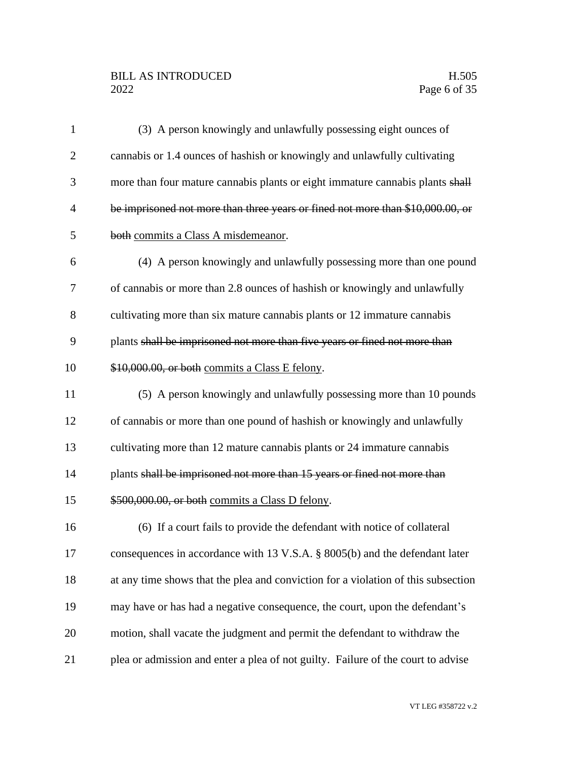# BILL AS INTRODUCED H.505<br>2022 Page 6 of 35

| $\mathbf{1}$   | (3) A person knowingly and unlawfully possessing eight ounces of                  |  |  |  |
|----------------|-----------------------------------------------------------------------------------|--|--|--|
| $\overline{2}$ | cannabis or 1.4 ounces of hashish or knowingly and unlawfully cultivating         |  |  |  |
| 3              | more than four mature cannabis plants or eight immature cannabis plants shall     |  |  |  |
| $\overline{4}$ | be imprisoned not more than three years or fined not more than \$10,000.00, or    |  |  |  |
| 5              | both commits a Class A misdemeanor.                                               |  |  |  |
| 6              | (4) A person knowingly and unlawfully possessing more than one pound              |  |  |  |
| 7              | of cannabis or more than 2.8 ounces of hashish or knowingly and unlawfully        |  |  |  |
| 8              | cultivating more than six mature cannabis plants or 12 immature cannabis          |  |  |  |
| 9              | plants shall be imprisoned not more than five years or fined not more than        |  |  |  |
| 10             | \$10,000.00, or both commits a Class E felony.                                    |  |  |  |
| 11             | (5) A person knowingly and unlawfully possessing more than 10 pounds              |  |  |  |
| 12             | of cannabis or more than one pound of hashish or knowingly and unlawfully         |  |  |  |
| 13             | cultivating more than 12 mature cannabis plants or 24 immature cannabis           |  |  |  |
| 14             | plants shall be imprisoned not more than 15 years or fined not more than          |  |  |  |
| 15             | \$500,000.00, or both commits a Class D felony.                                   |  |  |  |
| 16             | (6) If a court fails to provide the defendant with notice of collateral           |  |  |  |
| 17             | consequences in accordance with 13 V.S.A. § 8005(b) and the defendant later       |  |  |  |
| 18             | at any time shows that the plea and conviction for a violation of this subsection |  |  |  |
| 19             | may have or has had a negative consequence, the court, upon the defendant's       |  |  |  |
| 20             | motion, shall vacate the judgment and permit the defendant to withdraw the        |  |  |  |
| 21             | plea or admission and enter a plea of not guilty. Failure of the court to advise  |  |  |  |

VT LEG #358722 v.2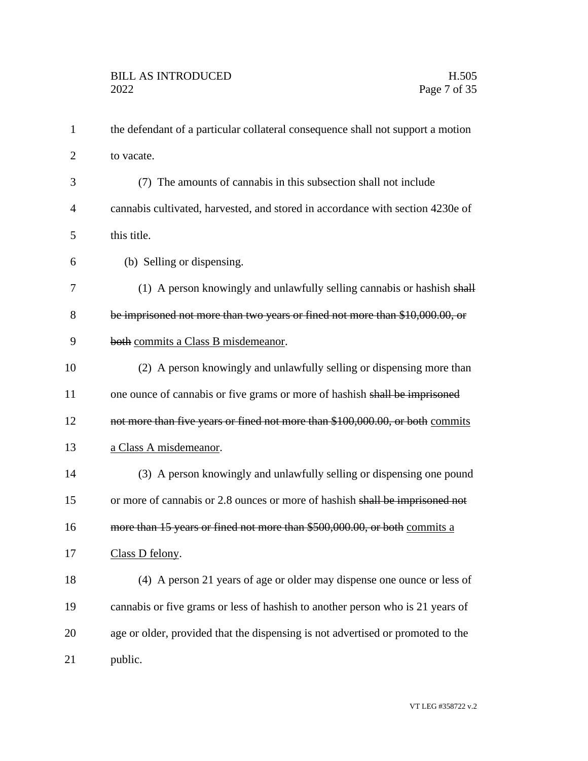| $\mathbf{1}$   | the defendant of a particular collateral consequence shall not support a motion |  |  |
|----------------|---------------------------------------------------------------------------------|--|--|
| $\overline{2}$ | to vacate.                                                                      |  |  |
| 3              | (7) The amounts of cannabis in this subsection shall not include                |  |  |
| $\overline{4}$ | cannabis cultivated, harvested, and stored in accordance with section 4230e of  |  |  |
| 5              | this title.                                                                     |  |  |
| 6              | (b) Selling or dispensing.                                                      |  |  |
| 7              | (1) A person knowingly and unlawfully selling cannabis or hashish shall         |  |  |
| 8              | be imprisoned not more than two years or fined not more than \$10,000.00, or    |  |  |
| 9              | both commits a Class B misdemeanor.                                             |  |  |
| 10             | (2) A person knowingly and unlawfully selling or dispensing more than           |  |  |
| 11             | one ounce of cannabis or five grams or more of hashish shall be imprisoned      |  |  |
| 12             | not more than five years or fined not more than \$100,000.00, or both commits   |  |  |
| 13             | a Class A misdemeanor.                                                          |  |  |
| 14             | (3) A person knowingly and unlawfully selling or dispensing one pound           |  |  |
| 15             | or more of cannabis or 2.8 ounces or more of hashish shall be imprisoned not    |  |  |
| 16             | more than 15 years or fined not more than \$500,000.00, or both commits a       |  |  |
| 17             | Class D felony.                                                                 |  |  |
| 18             | (4) A person 21 years of age or older may dispense one ounce or less of         |  |  |
| 19             | cannabis or five grams or less of hashish to another person who is 21 years of  |  |  |
| 20             | age or older, provided that the dispensing is not advertised or promoted to the |  |  |
| 21             | public.                                                                         |  |  |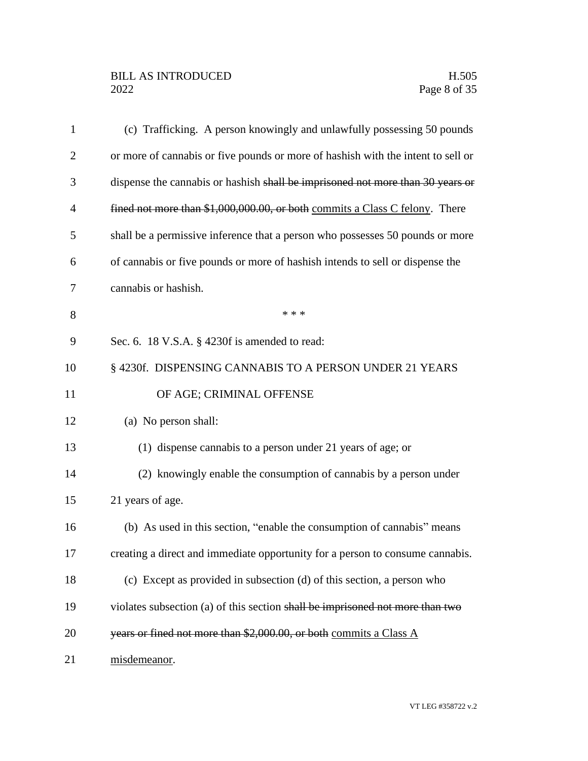| $\mathbf{1}$   | (c) Trafficking. A person knowingly and unlawfully possessing 50 pounds          |  |  |
|----------------|----------------------------------------------------------------------------------|--|--|
| $\overline{2}$ | or more of cannabis or five pounds or more of hashish with the intent to sell or |  |  |
| 3              | dispense the cannabis or hashish shall be imprisoned not more than 30 years or   |  |  |
| 4              | fined not more than \$1,000,000.00, or both commits a Class C felony. There      |  |  |
| 5              | shall be a permissive inference that a person who possesses 50 pounds or more    |  |  |
| 6              | of cannabis or five pounds or more of hashish intends to sell or dispense the    |  |  |
| 7              | cannabis or hashish.                                                             |  |  |
| 8              | * * *                                                                            |  |  |
| 9              | Sec. 6. 18 V.S.A. § 4230f is amended to read:                                    |  |  |
| 10             | § 4230f. DISPENSING CANNABIS TO A PERSON UNDER 21 YEARS                          |  |  |
| 11             | OF AGE; CRIMINAL OFFENSE                                                         |  |  |
| 12             | (a) No person shall:                                                             |  |  |
| 13             | (1) dispense cannabis to a person under 21 years of age; or                      |  |  |
| 14             | (2) knowingly enable the consumption of cannabis by a person under               |  |  |
| 15             | 21 years of age.                                                                 |  |  |
| 16             | (b) As used in this section, "enable the consumption of cannabis" means          |  |  |
| 17             | creating a direct and immediate opportunity for a person to consume cannabis.    |  |  |
| 18             | (c) Except as provided in subsection (d) of this section, a person who           |  |  |
| 19             | violates subsection (a) of this section shall be imprisoned not more than two    |  |  |
| 20             | years or fined not more than \$2,000.00, or both commits a Class A               |  |  |
| 21             | misdemeanor.                                                                     |  |  |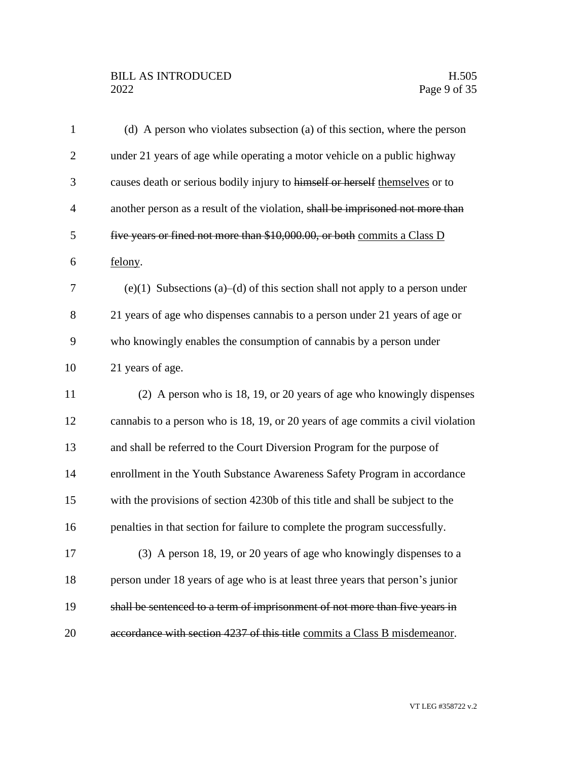# BILL AS INTRODUCED H.505<br>2022 Page 9 of 35

| $\mathbf{1}$   | (d) A person who violates subsection (a) of this section, where the person       |  |  |
|----------------|----------------------------------------------------------------------------------|--|--|
| $\overline{2}$ | under 21 years of age while operating a motor vehicle on a public highway        |  |  |
| 3              | causes death or serious bodily injury to himself or herself themselves or to     |  |  |
| $\overline{4}$ | another person as a result of the violation, shall be imprisoned not more than   |  |  |
| 5              | five years or fined not more than \$10,000.00, or both commits a Class D         |  |  |
| 6              | felony.                                                                          |  |  |
| 7              | (e)(1) Subsections (a)–(d) of this section shall not apply to a person under     |  |  |
| 8              | 21 years of age who dispenses cannabis to a person under 21 years of age or      |  |  |
| 9              | who knowingly enables the consumption of cannabis by a person under              |  |  |
| 10             | 21 years of age.                                                                 |  |  |
| 11             | (2) A person who is 18, 19, or 20 years of age who knowingly dispenses           |  |  |
| 12             | cannabis to a person who is 18, 19, or 20 years of age commits a civil violation |  |  |
| 13             | and shall be referred to the Court Diversion Program for the purpose of          |  |  |
| 14             | enrollment in the Youth Substance Awareness Safety Program in accordance         |  |  |
| 15             | with the provisions of section 4230b of this title and shall be subject to the   |  |  |
| 16             | penalties in that section for failure to complete the program successfully.      |  |  |
| 17             | (3) A person 18, 19, or 20 years of age who knowingly dispenses to a             |  |  |
| 18             | person under 18 years of age who is at least three years that person's junior    |  |  |
| 19             | shall be sentenced to a term of imprisonment of not more than five years in      |  |  |
| 20             | accordance with section 4237 of this title commits a Class B misdemeanor.        |  |  |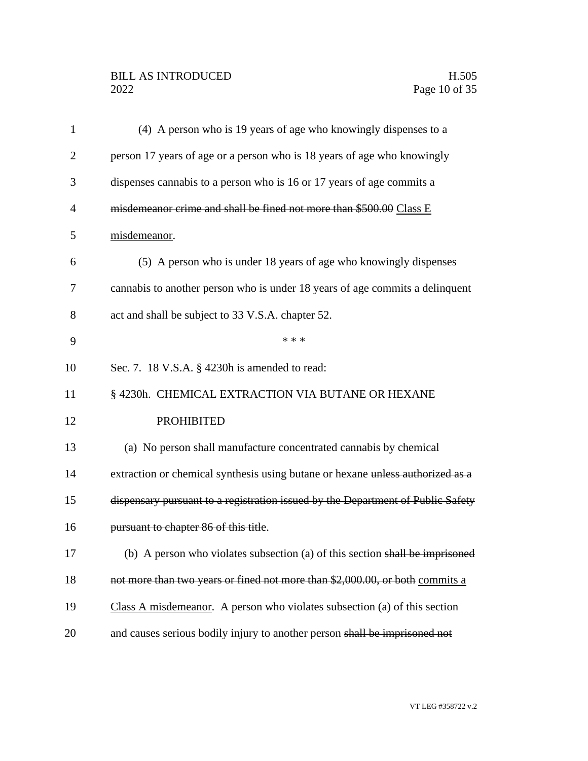# BILL AS INTRODUCED H.505<br>2022 Page 10 of 35

| 1              | (4) A person who is 19 years of age who knowingly dispenses to a                |  |  |
|----------------|---------------------------------------------------------------------------------|--|--|
| $\overline{2}$ | person 17 years of age or a person who is 18 years of age who knowingly         |  |  |
| 3              | dispenses cannabis to a person who is 16 or 17 years of age commits a           |  |  |
| $\overline{4}$ | misdemeanor crime and shall be fined not more than \$500.00 Class E             |  |  |
| 5              | misdemeanor.                                                                    |  |  |
| 6              | (5) A person who is under 18 years of age who knowingly dispenses               |  |  |
| 7              | cannabis to another person who is under 18 years of age commits a delinquent    |  |  |
| 8              | act and shall be subject to 33 V.S.A. chapter 52.                               |  |  |
| 9              | * * *                                                                           |  |  |
| 10             | Sec. 7. 18 V.S.A. § 4230h is amended to read:                                   |  |  |
| 11             | § 4230h. CHEMICAL EXTRACTION VIA BUTANE OR HEXANE                               |  |  |
| 12             | <b>PROHIBITED</b>                                                               |  |  |
| 13             | (a) No person shall manufacture concentrated cannabis by chemical               |  |  |
| 14             | extraction or chemical synthesis using butane or hexane unless authorized as a  |  |  |
| 15             | dispensary pursuant to a registration issued by the Department of Public Safety |  |  |
| 16             | pursuant to chapter 86 of this title.                                           |  |  |
| 17             | (b) A person who violates subsection (a) of this section shall be imprisoned    |  |  |
| 18             | not more than two years or fined not more than \$2,000.00, or both commits a    |  |  |
| 19             | Class A misdemeanor. A person who violates subsection (a) of this section       |  |  |
| 20             | and causes serious bodily injury to another person shall be imprisoned not      |  |  |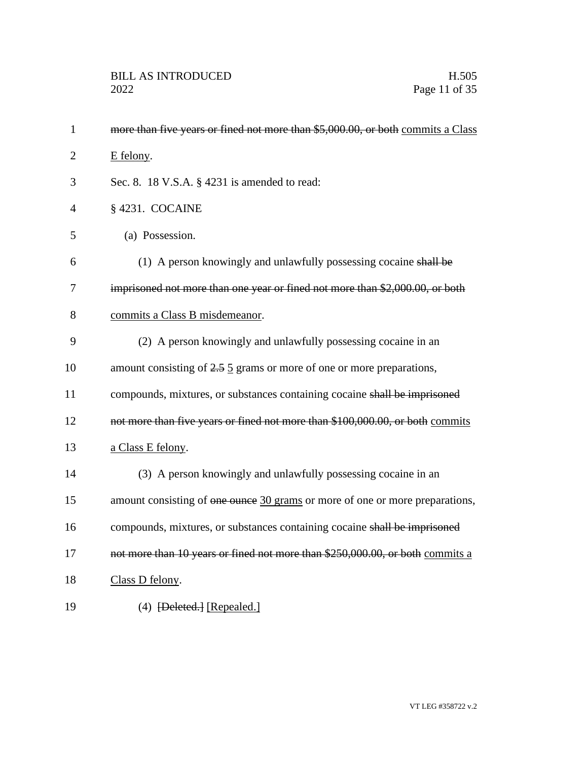| $\mathbf{1}$   | more than five years or fined not more than \$5,000.00, or both commits a Class     |  |
|----------------|-------------------------------------------------------------------------------------|--|
| $\overline{2}$ | E felony.                                                                           |  |
| 3              | Sec. 8. 18 V.S.A. § 4231 is amended to read:                                        |  |
| $\overline{4}$ | §4231. COCAINE                                                                      |  |
| 5              | (a) Possession.                                                                     |  |
| 6              | (1) A person knowingly and unlawfully possessing cocaine shall be                   |  |
| 7              | imprisoned not more than one year or fined not more than \$2,000.00, or both        |  |
| 8              | commits a Class B misdemeanor.                                                      |  |
| 9              | (2) A person knowingly and unlawfully possessing cocaine in an                      |  |
| 10             | amount consisting of $2.5 \underline{5}$ grams or more of one or more preparations, |  |
| 11             | compounds, mixtures, or substances containing cocaine shall be imprisoned           |  |
| 12             | not more than five years or fined not more than \$100,000.00, or both commits       |  |
| 13             | a Class E felony.                                                                   |  |
| 14             | (3) A person knowingly and unlawfully possessing cocaine in an                      |  |
| 15             | amount consisting of one ounce 30 grams or more of one or more preparations,        |  |
| 16             | compounds, mixtures, or substances containing cocaine shall be imprisoned           |  |
| 17             | not more than 10 years or fined not more than \$250,000.00, or both commits a       |  |
| 18             | Class D felony.                                                                     |  |
| 19             | $(4)$ [Deleted.] [Repealed.]                                                        |  |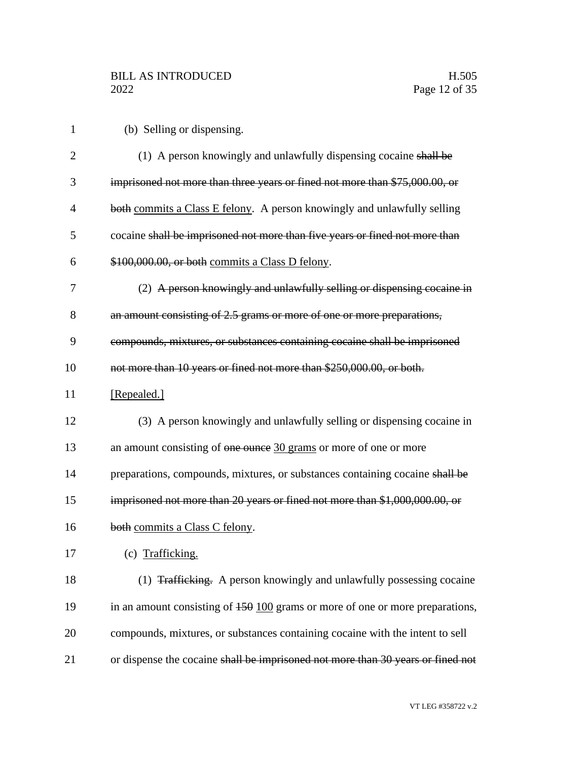|  |  | (b) Selling or dispensing. |
|--|--|----------------------------|
|--|--|----------------------------|

| $\overline{2}$ | (1) A person knowingly and unlawfully dispensing cocaine shall be                           |
|----------------|---------------------------------------------------------------------------------------------|
| 3              | imprisoned not more than three years or fined not more than \$75,000.00, or                 |
| $\overline{4}$ | both commits a Class E felony. A person knowingly and unlawfully selling                    |
| 5              | cocaine shall be imprisoned not more than five years or fined not more than                 |
| 6              | \$100,000.00, or both commits a Class D felony.                                             |
| 7              | (2) A person knowingly and unlawfully selling or dispensing cocaine in                      |
| 8              | an amount consisting of 2.5 grams or more of one or more preparations,                      |
| 9              | compounds, mixtures, or substances containing cocaine shall be imprisoned                   |
| 10             | not more than 10 years or fined not more than \$250,000.00, or both.                        |
| 11             | [Repealed.]                                                                                 |
| 12             | (3) A person knowingly and unlawfully selling or dispensing cocaine in                      |
| 13             | an amount consisting of one ounce 30 grams or more of one or more                           |
| 14             | preparations, compounds, mixtures, or substances containing cocaine shall be                |
| 15             | imprisoned not more than 20 years or fined not more than \$1,000,000.00, or                 |
| 16             | both commits a Class C felony.                                                              |
| 17             | (c) Trafficking.                                                                            |
| 18             | (1) Trafficking. A person knowingly and unlawfully possessing cocaine                       |
| 19             | in an amount consisting of $150 \underline{100}$ grams or more of one or more preparations, |
| 20             | compounds, mixtures, or substances containing cocaine with the intent to sell               |
| 21             | or dispense the cocaine shall be imprisoned not more than 30 years or fined not             |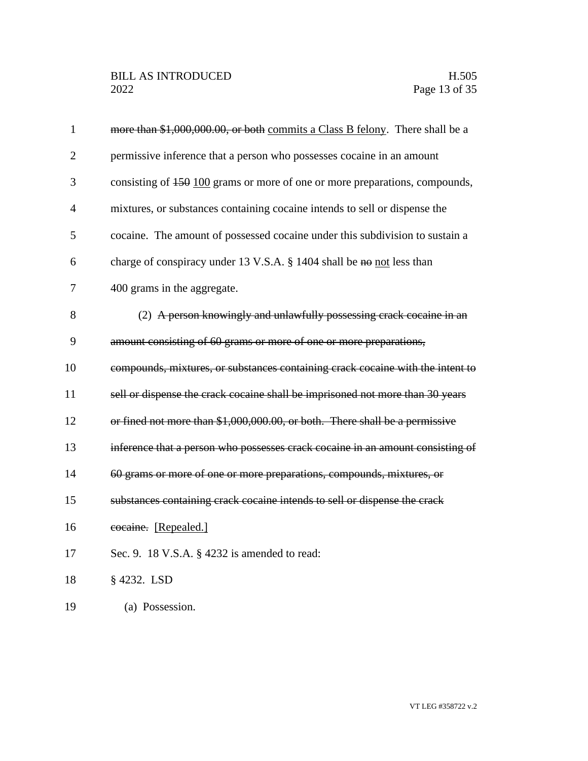| $\mathbf{1}$   | more than \$1,000,000.00, or both commits a Class B felony. There shall be a   |
|----------------|--------------------------------------------------------------------------------|
| $\overline{2}$ | permissive inference that a person who possesses cocaine in an amount          |
| 3              | consisting of 450 100 grams or more of one or more preparations, compounds,    |
| $\overline{4}$ | mixtures, or substances containing cocaine intends to sell or dispense the     |
| 5              | cocaine. The amount of possessed cocaine under this subdivision to sustain a   |
| 6              | charge of conspiracy under 13 V.S.A. $\S$ 1404 shall be no not less than       |
| $\overline{7}$ | 400 grams in the aggregate.                                                    |
| 8              | (2) A person knowingly and unlawfully possessing crack cocaine in an           |
| 9              | amount consisting of 60 grams or more of one or more preparations,             |
| 10             | compounds, mixtures, or substances containing crack cocaine with the intent to |
| 11             | sell or dispense the crack cocaine shall be imprisoned not more than 30 years  |
| 12             | or fined not more than \$1,000,000.00, or both. There shall be a permissive    |
| 13             | inference that a person who possesses crack cocaine in an amount consisting of |
| 14             | 60 grams or more of one or more preparations, compounds, mixtures, or          |
| 15             | substances containing crack cocaine intends to sell or dispense the crack      |
| 16             | cocaine. [Repealed.]                                                           |
| 17             | Sec. 9. 18 V.S.A. § 4232 is amended to read:                                   |
| 18             | § 4232. LSD                                                                    |
| 19             | (a) Possession.                                                                |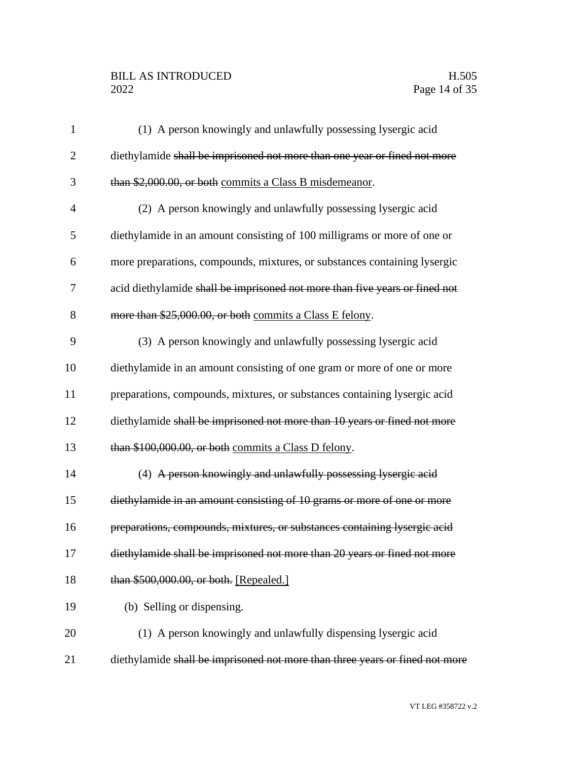# BILL AS INTRODUCED H.505<br>2022 Page 14 of 35

| $\mathbf{1}$   | (1) A person knowingly and unlawfully possessing lysergic acid               |
|----------------|------------------------------------------------------------------------------|
| $\overline{2}$ | diethylamide shall be imprisoned not more than one year or fined not more    |
| 3              | than \$2,000.00, or both commits a Class B misdemeanor.                      |
| $\overline{4}$ | (2) A person knowingly and unlawfully possessing lysergic acid               |
| 5              | diethylamide in an amount consisting of 100 milligrams or more of one or     |
| 6              | more preparations, compounds, mixtures, or substances containing lysergic    |
| 7              | acid diethylamide shall be imprisoned not more than five years or fined not  |
| 8              | more than \$25,000.00, or both commits a Class E felony.                     |
| 9              | (3) A person knowingly and unlawfully possessing lysergic acid               |
| 10             | diethylamide in an amount consisting of one gram or more of one or more      |
| 11             | preparations, compounds, mixtures, or substances containing lysergic acid    |
| 12             | diethylamide shall be imprisoned not more than 10 years or fined not more    |
| 13             | than \$100,000.00, or both commits a Class D felony.                         |
| 14             | (4) A person knowingly and unlawfully possessing lysergic acid               |
| 15             | diethylamide in an amount consisting of 10 grams or more of one or more      |
| 16             | preparations, compounds, mixtures, or substances containing lysergic acid    |
| 17             | diethylamide shall be imprisoned not more than 20 years or fined not more    |
| 18             | than \$500,000.00, or both. [Repealed.]                                      |
| 19             | (b) Selling or dispensing.                                                   |
| 20             | (1) A person knowingly and unlawfully dispensing lysergic acid               |
| 21             | diethylamide shall be imprisoned not more than three years or fined not more |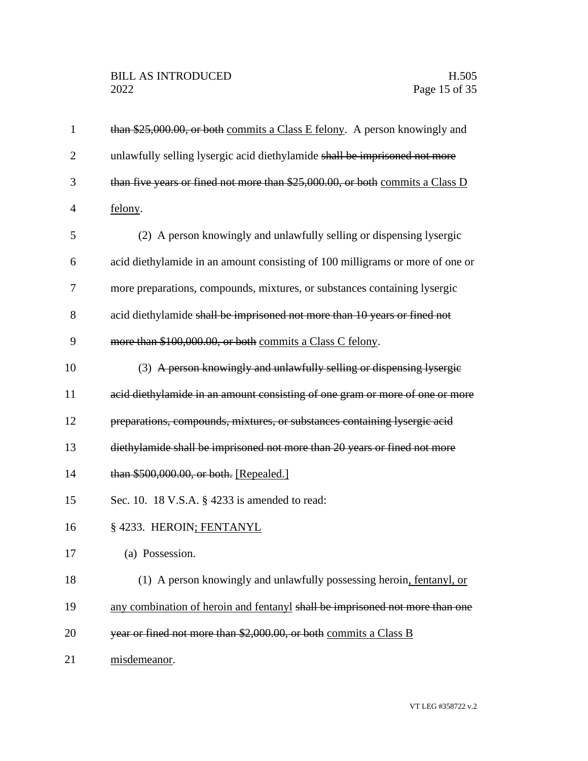| 1              | than \$25,000.00, or both commits a Class E felony. A person knowingly and    |
|----------------|-------------------------------------------------------------------------------|
| $\overline{2}$ | unlawfully selling lysergic acid diethylamide shall be imprisoned not more    |
| 3              | than five years or fined not more than \$25,000.00, or both commits a Class D |
| $\overline{4}$ | felony.                                                                       |
| 5              | (2) A person knowingly and unlawfully selling or dispensing lysergic          |
| 6              | acid diethylamide in an amount consisting of 100 milligrams or more of one or |
| 7              | more preparations, compounds, mixtures, or substances containing lysergic     |
| 8              | acid diethylamide shall be imprisoned not more than 10 years or fined not     |
| 9              | more than \$100,000.00, or both commits a Class C felony.                     |
| 10             | (3) A person knowingly and unlawfully selling or dispensing lysergie          |
| 11             | acid diethylamide in an amount consisting of one gram or more of one or more  |
| 12             | preparations, compounds, mixtures, or substances containing lysergic acid     |
| 13             | diethylamide shall be imprisoned not more than 20 years or fined not more     |
| 14             | than \$500,000.00, or both. [Repealed.]                                       |
| 15             | Sec. 10. 18 V.S.A. § 4233 is amended to read:                                 |
| 16             | § 4233. HEROIN; FENTANYL                                                      |
| 17             | (a) Possession.                                                               |
| 18             | (1) A person knowingly and unlawfully possessing heroin, fentanyl, or         |
| 19             | any combination of heroin and fentanyl shall be imprisoned not more than one  |
| 20             | year or fined not more than \$2,000.00, or both commits a Class B             |
| 21             | misdemeanor.                                                                  |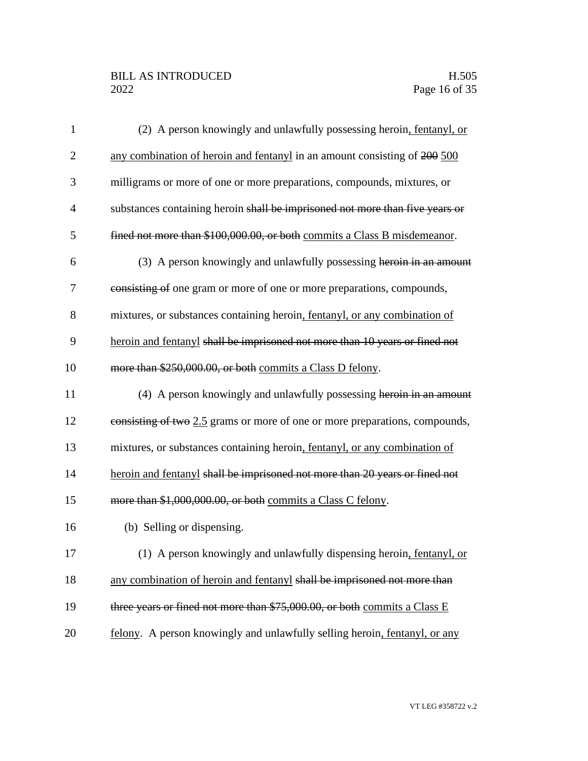# BILL AS INTRODUCED H.505<br>2022 Page 16 of 35

| $\mathbf{1}$   | (2) A person knowingly and unlawfully possessing heroin, fentanyl, or        |
|----------------|------------------------------------------------------------------------------|
| $\overline{2}$ | any combination of heroin and fentanyl in an amount consisting of 200 500    |
| 3              | milligrams or more of one or more preparations, compounds, mixtures, or      |
| $\overline{4}$ | substances containing heroin shall be imprisoned not more than five years or |
| 5              | fined not more than \$100,000.00, or both commits a Class B misdemeanor.     |
| 6              | (3) A person knowingly and unlawfully possessing heroin in an amount         |
| 7              | consisting of one gram or more of one or more preparations, compounds,       |
| 8              | mixtures, or substances containing heroin, fentanyl, or any combination of   |
| 9              | heroin and fentanyl shall be imprisoned not more than 10 years or fined not  |
| 10             | more than \$250,000.00, or both commits a Class D felony.                    |
| 11             | (4) A person knowingly and unlawfully possessing heroin in an amount         |
| 12             | consisting of two 2.5 grams or more of one or more preparations, compounds,  |
| 13             | mixtures, or substances containing heroin, fentanyl, or any combination of   |
| 14             | heroin and fentanyl shall be imprisoned not more than 20 years or fined not  |
| 15             | more than \$1,000,000.00, or both commits a Class C felony.                  |
| 16             | (b) Selling or dispensing.                                                   |
| 17             | (1) A person knowingly and unlawfully dispensing heroin, fentanyl, or        |
| 18             | any combination of heroin and fentanyl shall be imprisoned not more than     |
| 19             | three years or fined not more than \$75,000.00, or both commits a Class E    |
|                |                                                                              |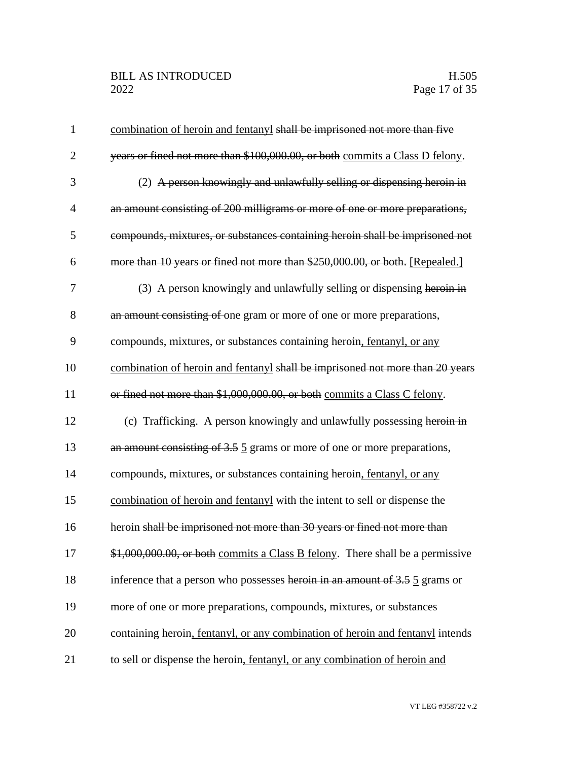# BILL AS INTRODUCED H.505<br>2022 Page 17 of 35

| $\mathbf 1$    | combination of heroin and fentanyl shall be imprisoned not more than five      |
|----------------|--------------------------------------------------------------------------------|
| $\overline{2}$ | years or fined not more than \$100,000.00, or both commits a Class D felony.   |
| 3              | (2) A person knowingly and unlawfully selling or dispensing heroin in          |
| 4              | an amount consisting of 200 milligrams or more of one or more preparations,    |
| 5              | compounds, mixtures, or substances containing heroin shall be imprisoned not   |
| 6              | more than 10 years or fined not more than \$250,000.00, or both. [Repealed.]   |
| 7              | (3) A person knowingly and unlawfully selling or dispensing heroin in          |
| 8              | an amount consisting of one gram or more of one or more preparations,          |
| 9              | compounds, mixtures, or substances containing heroin, fentanyl, or any         |
| 10             | combination of heroin and fentanyl shall be imprisoned not more than 20 years  |
| 11             | or fined not more than \$1,000,000.00, or both commits a Class C felony.       |
| 12             | (c) Trafficking. A person knowingly and unlawfully possessing heroin in        |
| 13             | an amount consisting of 3.5 5 grams or more of one or more preparations,       |
| 14             | compounds, mixtures, or substances containing heroin, fentanyl, or any         |
| 15             | combination of heroin and fentanyl with the intent to sell or dispense the     |
| 16             | heroin shall be imprisoned not more than 30 years or fined not more than       |
| 17             | \$1,000,000.00, or both commits a Class B felony. There shall be a permissive  |
| 18             | inference that a person who possesses heroin in an amount of 3.5 5 grams or    |
| 19             | more of one or more preparations, compounds, mixtures, or substances           |
| 20             | containing heroin, fentanyl, or any combination of heroin and fentanyl intends |
| 21             | to sell or dispense the heroin, fentanyl, or any combination of heroin and     |

VT LEG #358722 v.2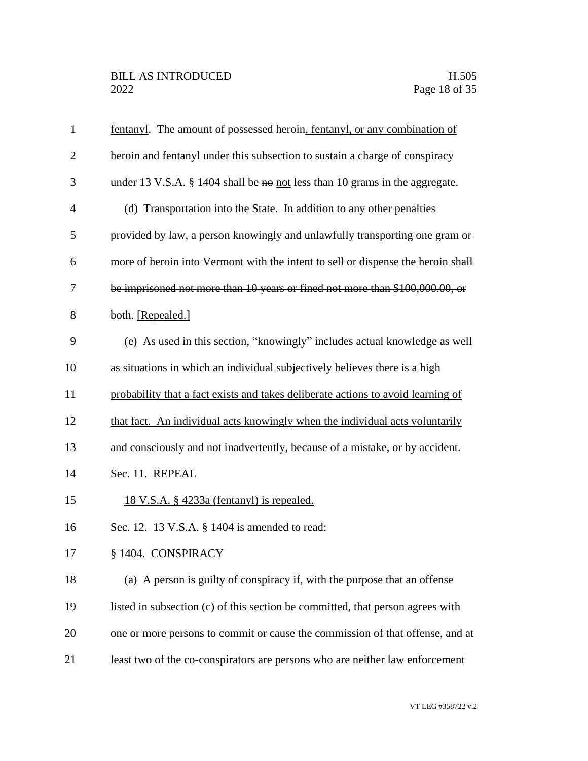| $\mathbf{1}$   | fentanyl. The amount of possessed heroin, fentanyl, or any combination of        |
|----------------|----------------------------------------------------------------------------------|
| $\overline{2}$ | heroin and fentanyl under this subsection to sustain a charge of conspiracy      |
| 3              | under 13 V.S.A. $\S$ 1404 shall be no not less than 10 grams in the aggregate.   |
| $\overline{4}$ | (d) Transportation into the State. In addition to any other penalties            |
| 5              | provided by law, a person knowingly and unlawfully transporting one gram or      |
| 6              | more of heroin into Vermont with the intent to sell or dispense the heroin shall |
| 7              | be imprisoned not more than 10 years or fined not more than \$100,000.00, or     |
| 8              | both. [Repealed.]                                                                |
| 9              | (e) As used in this section, "knowingly" includes actual knowledge as well       |
| 10             | as situations in which an individual subjectively believes there is a high       |
| 11             | probability that a fact exists and takes deliberate actions to avoid learning of |
| 12             | that fact. An individual acts knowingly when the individual acts voluntarily     |
| 13             | and consciously and not inadvertently, because of a mistake, or by accident.     |
| 14             | Sec. 11. REPEAL                                                                  |
| 15             | <u>18 V.S.A. § 4233a (fentanyl) is repealed.</u>                                 |
| 16             | Sec. 12. 13 V.S.A. § 1404 is amended to read:                                    |
| 17             | § 1404. CONSPIRACY                                                               |
| 18             | (a) A person is guilty of conspiracy if, with the purpose that an offense        |
| 19             | listed in subsection (c) of this section be committed, that person agrees with   |
| 20             | one or more persons to commit or cause the commission of that offense, and at    |
| 21             | least two of the co-conspirators are persons who are neither law enforcement     |
|                |                                                                                  |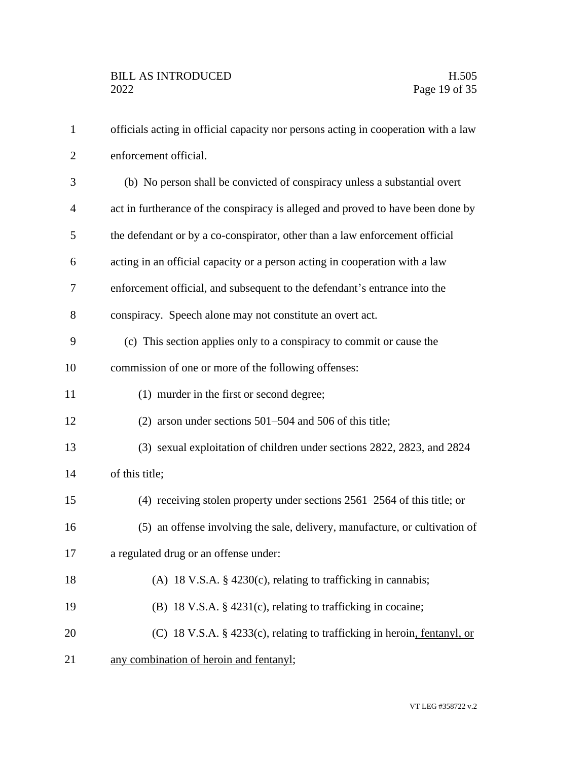| $\mathbf{1}$   | officials acting in official capacity nor persons acting in cooperation with a law |
|----------------|------------------------------------------------------------------------------------|
| $\overline{2}$ | enforcement official.                                                              |
| 3              | (b) No person shall be convicted of conspiracy unless a substantial overt          |
| $\overline{4}$ | act in furtherance of the conspiracy is alleged and proved to have been done by    |
| 5              | the defendant or by a co-conspirator, other than a law enforcement official        |
| 6              | acting in an official capacity or a person acting in cooperation with a law        |
| 7              | enforcement official, and subsequent to the defendant's entrance into the          |
| 8              | conspiracy. Speech alone may not constitute an overt act.                          |
| 9              | (c) This section applies only to a conspiracy to commit or cause the               |
| 10             | commission of one or more of the following offenses:                               |
| 11             | (1) murder in the first or second degree;                                          |
| 12             | (2) arson under sections $501-504$ and $506$ of this title;                        |
| 13             | (3) sexual exploitation of children under sections 2822, 2823, and 2824            |
| 14             | of this title;                                                                     |
| 15             | (4) receiving stolen property under sections $2561-2564$ of this title; or         |
| 16             | (5) an offense involving the sale, delivery, manufacture, or cultivation of        |
| 17             | a regulated drug or an offense under:                                              |
| 18             | (A) 18 V.S.A. $\S$ 4230(c), relating to trafficking in cannabis;                   |
| 19             | (B) 18 V.S.A. $\S$ 4231(c), relating to trafficking in cocaine;                    |
| 20             | (C) 18 V.S.A. § 4233(c), relating to trafficking in heroin, fentanyl, or           |
| 21             | any combination of heroin and fentanyl;                                            |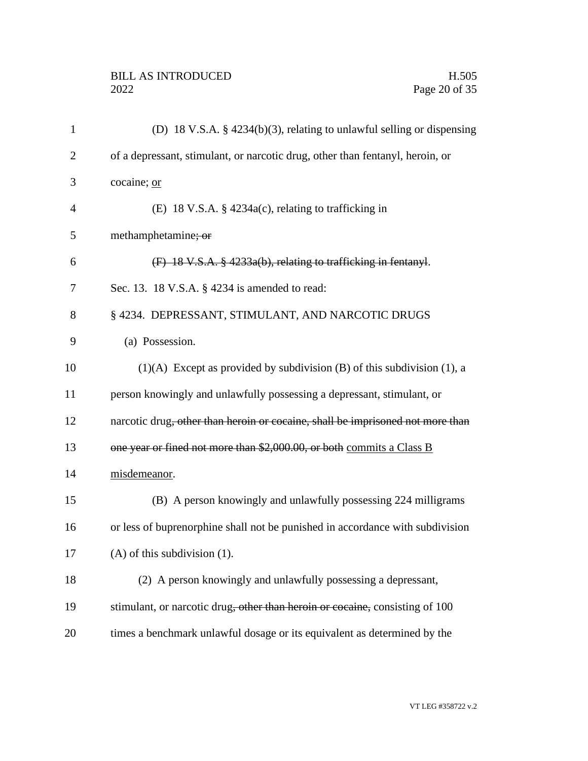| $\mathbf{1}$ | (D) 18 V.S.A. $\S$ 4234(b)(3), relating to unlawful selling or dispensing                  |
|--------------|--------------------------------------------------------------------------------------------|
| 2            | of a depressant, stimulant, or narcotic drug, other than fentanyl, heroin, or              |
| 3            | cocaine; or                                                                                |
| 4            | (E) 18 V.S.A. § 4234a(c), relating to trafficking in                                       |
| 5            | methamphetamine; or                                                                        |
| 6            | (F) 18 V.S.A. § 4233a(b), relating to trafficking in fentanyl.                             |
| 7            | Sec. 13. 18 V.S.A. § 4234 is amended to read:                                              |
| 8            | § 4234. DEPRESSANT, STIMULANT, AND NARCOTIC DRUGS                                          |
| 9            | (a) Possession.                                                                            |
| 10           | $(1)(A)$ Except as provided by subdivision (B) of this subdivision (1), a                  |
| 11           | person knowingly and unlawfully possessing a depressant, stimulant, or                     |
| 12           | narcotic drug <del>, other than heroin or cocaine, shall be imprisoned not more than</del> |
| 13           | one year or fined not more than \$2,000.00, or both commits a Class B                      |
| 14           | misdemeanor.                                                                               |
| 15           | (B) A person knowingly and unlawfully possessing 224 milligrams                            |
| 16           | or less of buprenorphine shall not be punished in accordance with subdivision              |
| 17           | $(A)$ of this subdivision $(1)$ .                                                          |
| 18           | (2) A person knowingly and unlawfully possessing a depressant,                             |
| 19           | stimulant, or narcotic drug, other than heroin or cocaine, consisting of 100               |
| 20           | times a benchmark unlawful dosage or its equivalent as determined by the                   |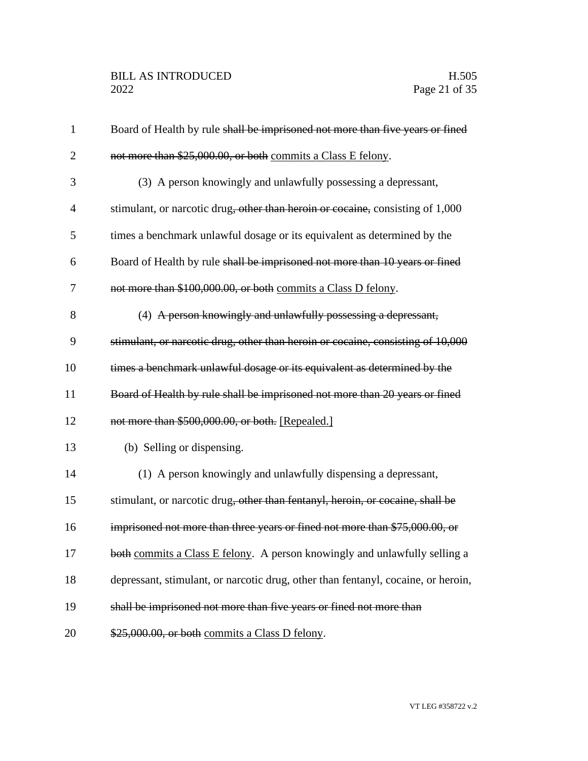| $\mathbf{1}$   | Board of Health by rule shall be imprisoned not more than five years or fined     |
|----------------|-----------------------------------------------------------------------------------|
| $\overline{2}$ | not more than \$25,000.00, or both commits a Class E felony.                      |
| 3              | (3) A person knowingly and unlawfully possessing a depressant,                    |
| 4              | stimulant, or narcotic drug, other than heroin or cocaine, consisting of 1,000    |
| 5              | times a benchmark unlawful dosage or its equivalent as determined by the          |
| 6              | Board of Health by rule shall be imprisoned not more than 10 years or fined       |
| 7              | not more than \$100,000.00, or both commits a Class D felony.                     |
| 8              | (4) A person knowingly and unlawfully possessing a depressant,                    |
| 9              | stimulant, or narcotic drug, other than heroin or cocaine, consisting of 10,000   |
| 10             | times a benchmark unlawful dosage or its equivalent as determined by the          |
| 11             | Board of Health by rule shall be imprisoned not more than 20 years or fined       |
| 12             | not more than \$500,000.00, or both. [Repealed.]                                  |
| 13             | (b) Selling or dispensing.                                                        |
| 14             | (1) A person knowingly and unlawfully dispensing a depressant,                    |
| 15             | stimulant, or narcotic drug, other than fentanyl, heroin, or cocaine, shall be    |
| 16             | imprisoned not more than three years or fined not more than \$75,000.00, or       |
| 17             | both commits a Class E felony. A person knowingly and unlawfully selling a        |
| 18             | depressant, stimulant, or narcotic drug, other than fentanyl, cocaine, or heroin, |
| 19             | shall be imprisoned not more than five years or fined not more than               |
| 20             | \$25,000.00, or both commits a Class D felony.                                    |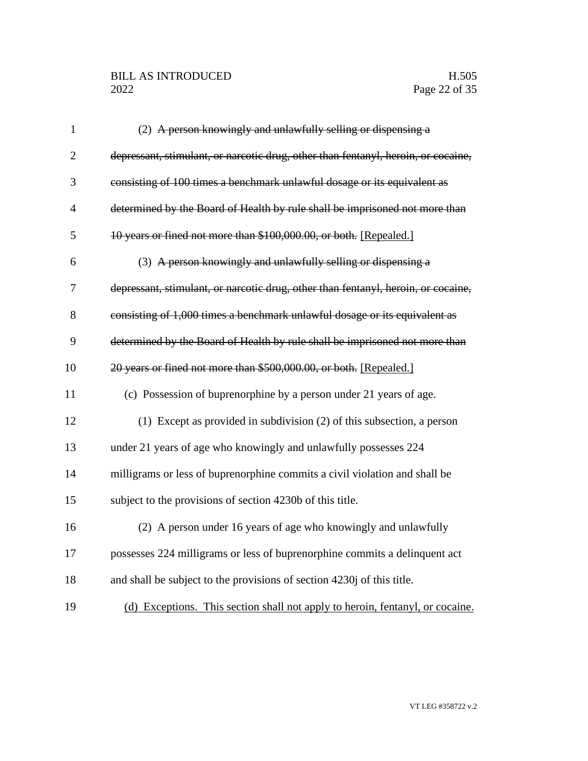# BILL AS INTRODUCED H.505<br>2022 Page 22 of 35

| $\mathbf{1}$   | (2) A person knowingly and unlawfully selling or dispensing a                     |
|----------------|-----------------------------------------------------------------------------------|
| $\overline{2}$ | depressant, stimulant, or narcotic drug, other than fentanyl, heroin, or cocaine, |
| 3              | consisting of 100 times a benchmark unlawful dosage or its equivalent as          |
| $\overline{4}$ | determined by the Board of Health by rule shall be imprisoned not more than       |
| 5              | 10 years or fined not more than \$100,000.00, or both. [Repealed.]                |
| 6              | (3) A person knowingly and unlawfully selling or dispensing a                     |
| 7              | depressant, stimulant, or narcotic drug, other than fentanyl, heroin, or cocaine, |
| 8              | consisting of 1,000 times a benchmark unlawful dosage or its equivalent as        |
| 9              | determined by the Board of Health by rule shall be imprisoned not more than       |
| 10             | 20 years or fined not more than \$500,000.00, or both. [Repealed.]                |
| 11             | (c) Possession of buprenorphine by a person under 21 years of age.                |
| 12             | $(1)$ Except as provided in subdivision $(2)$ of this subsection, a person        |
| 13             | under 21 years of age who knowingly and unlawfully possesses 224                  |
| 14             | milligrams or less of buprenorphine commits a civil violation and shall be        |
| 15             | subject to the provisions of section 4230b of this title.                         |
| 16             | (2) A person under 16 years of age who knowingly and unlawfully                   |
| 17             | possesses 224 milligrams or less of buprenorphine commits a delinquent act        |
| 18             | and shall be subject to the provisions of section 4230j of this title.            |
| 19             | (d) Exceptions. This section shall not apply to heroin, fentanyl, or cocaine.     |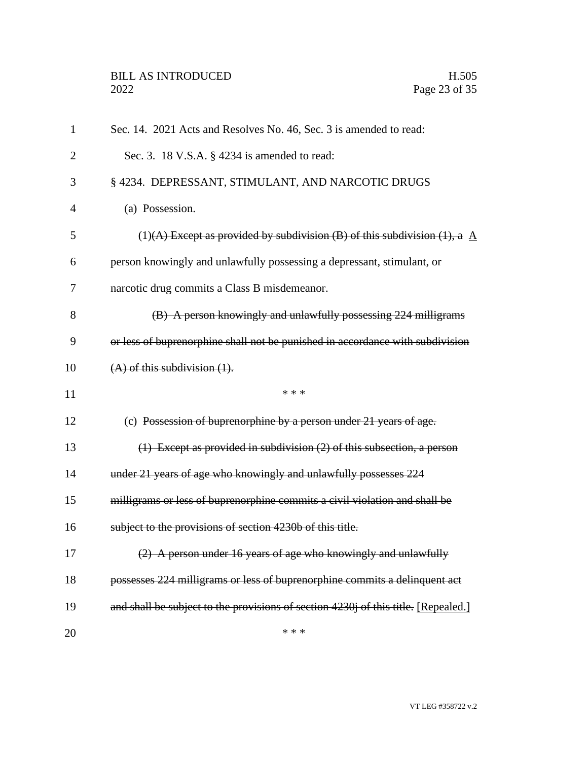| 1              | Sec. 14. 2021 Acts and Resolves No. 46, Sec. 3 is amended to read:                     |
|----------------|----------------------------------------------------------------------------------------|
| $\overline{2}$ | Sec. 3. 18 V.S.A. § 4234 is amended to read:                                           |
| 3              | § 4234. DEPRESSANT, STIMULANT, AND NARCOTIC DRUGS                                      |
| 4              | (a) Possession.                                                                        |
| 5              | (1)(A) Except as provided by subdivision (B) of this subdivision (1), a $\overline{A}$ |
| 6              | person knowingly and unlawfully possessing a depressant, stimulant, or                 |
| 7              | narcotic drug commits a Class B misdemeanor.                                           |
| 8              | (B) A person knowingly and unlawfully possessing 224 milligrams                        |
| 9              | or less of buprenorphine shall not be punished in accordance with subdivision          |
| 10             | $(A)$ of this subdivision $(1)$ .                                                      |
| 11             | * * *                                                                                  |
| 12             | (c) Possession of buprenorphine by a person under 21 years of age.                     |
| 13             | $(1)$ Except as provided in subdivision $(2)$ of this subsection, a person             |
| 14             | under 21 years of age who knowingly and unlawfully possesses 224                       |
| 15             | milligrams or less of buprenorphine commits a civil violation and shall be             |
| 16             | subject to the provisions of section 4230b of this title.                              |
| 17             | (2) A person under 16 years of age who knowingly and unlawfully                        |
| 18             | possesses 224 milligrams or less of buprenorphine commits a delinquent act             |
| 19             | and shall be subject to the provisions of section 4230j of this title. [Repealed.]     |
| 20             | * * *                                                                                  |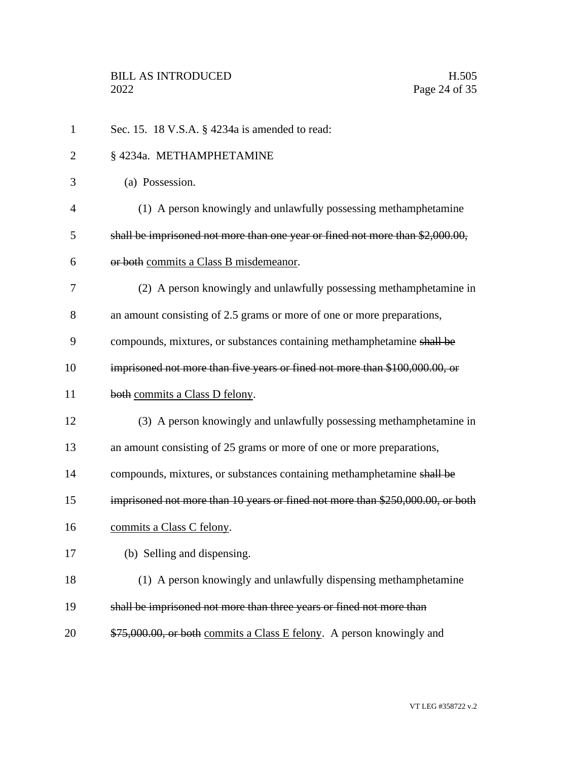| $\mathbf{1}$   | Sec. 15. 18 V.S.A. § 4234a is amended to read:                                 |
|----------------|--------------------------------------------------------------------------------|
| $\overline{2}$ | § 4234a. METHAMPHETAMINE                                                       |
| 3              | (a) Possession.                                                                |
| $\overline{4}$ | (1) A person knowingly and unlawfully possessing methamphetamine               |
| 5              | shall be imprisoned not more than one year or fined not more than \$2,000.00,  |
| 6              | or both commits a Class B misdemeanor.                                         |
| 7              | (2) A person knowingly and unlawfully possessing methamphetamine in            |
| 8              | an amount consisting of 2.5 grams or more of one or more preparations,         |
| 9              | compounds, mixtures, or substances containing methamphetamine shall be         |
| 10             | imprisoned not more than five years or fined not more than \$100,000.00, or    |
| 11             | both commits a Class D felony.                                                 |
| 12             | (3) A person knowingly and unlawfully possessing methamphetamine in            |
| 13             | an amount consisting of 25 grams or more of one or more preparations,          |
| 14             | compounds, mixtures, or substances containing methamphetamine shall be         |
| 15             | imprisoned not more than 10 years or fined not more than \$250,000.00, or both |
| 16             | commits a Class C felony.                                                      |
| 17             | (b) Selling and dispensing.                                                    |
| 18             | (1) A person knowingly and unlawfully dispensing methamphetamine               |
| 19             | shall be imprisoned not more than three years or fined not more than           |
| 20             | \$75,000.00, or both commits a Class E felony. A person knowingly and          |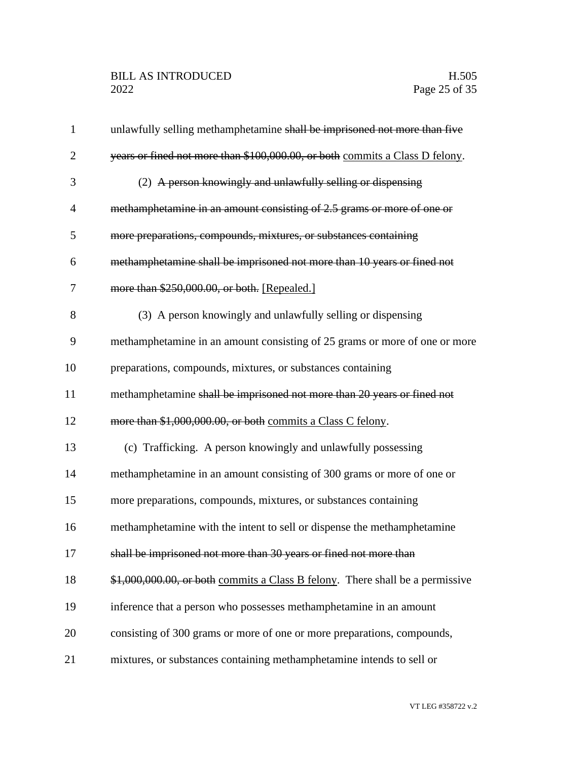| $\mathbf{1}$   | unlawfully selling methamphetamine shall be imprisoned not more than five     |
|----------------|-------------------------------------------------------------------------------|
| $\overline{2}$ | years or fined not more than \$100,000.00, or both commits a Class D felony.  |
| 3              | (2) A person knowingly and unlawfully selling or dispensing                   |
| $\overline{4}$ | methamphetamine in an amount consisting of 2.5 grams or more of one or        |
| 5              | more preparations, compounds, mixtures, or substances containing              |
| 6              | methamphetamine shall be imprisoned not more than 10 years or fined not       |
| 7              | more than \$250,000.00, or both. [Repealed.]                                  |
| 8              | (3) A person knowingly and unlawfully selling or dispensing                   |
| 9              | methamphetamine in an amount consisting of 25 grams or more of one or more    |
| 10             | preparations, compounds, mixtures, or substances containing                   |
| 11             | methamphetamine shall be imprisoned not more than 20 years or fined not       |
| 12             | more than \$1,000,000.00, or both commits a Class C felony.                   |
| 13             | (c) Trafficking. A person knowingly and unlawfully possessing                 |
| 14             | methamphetamine in an amount consisting of 300 grams or more of one or        |
| 15             | more preparations, compounds, mixtures, or substances containing              |
| 16             | methamphetamine with the intent to sell or dispense the methamphetamine       |
| 17             | shall be imprisoned not more than 30 years or fined not more than             |
| 18             | \$1,000,000.00, or both commits a Class B felony. There shall be a permissive |
| 19             | inference that a person who possesses methamphetamine in an amount            |
| 20             | consisting of 300 grams or more of one or more preparations, compounds,       |
| 21             | mixtures, or substances containing methamphetamine intends to sell or         |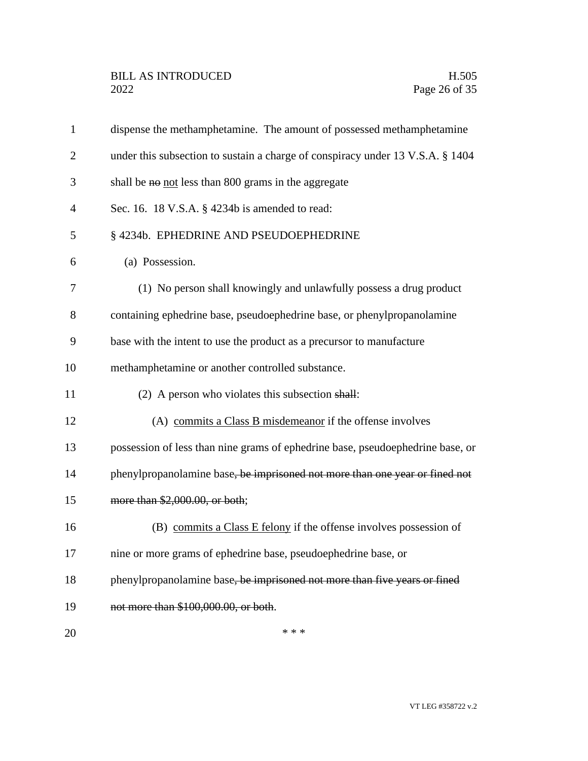| $\mathbf{1}$   | dispense the methamphetamine. The amount of possessed methamphetamine          |
|----------------|--------------------------------------------------------------------------------|
| $\overline{2}$ | under this subsection to sustain a charge of conspiracy under 13 V.S.A. § 1404 |
| 3              | shall be no not less than 800 grams in the aggregate                           |
| 4              | Sec. 16. 18 V.S.A. § 4234b is amended to read:                                 |
| 5              | § 4234b. EPHEDRINE AND PSEUDOEPHEDRINE                                         |
| 6              | (a) Possession.                                                                |
| 7              | (1) No person shall knowingly and unlawfully possess a drug product            |
| 8              | containing ephedrine base, pseudoephedrine base, or phenylpropanolamine        |
| 9              | base with the intent to use the product as a precursor to manufacture          |
| 10             | methamphetamine or another controlled substance.                               |
| 11             | (2) A person who violates this subsection shall:                               |
| 12             | (A) commits a Class B misdemeanor if the offense involves                      |
| 13             | possession of less than nine grams of ephedrine base, pseudoephedrine base, or |
| 14             | phenylpropanolamine base, be imprisoned not more than one year or fined not    |
| 15             | more than \$2,000.00, or both;                                                 |
| 16             | (B) commits a Class E felony if the offense involves possession of             |
| 17             | nine or more grams of ephedrine base, pseudoephedrine base, or                 |
| 18             | phenylpropanolamine base, be imprisoned not more than five years or fined      |
| 19             | not more than \$100,000.00, or both.                                           |
| 20             | * * *                                                                          |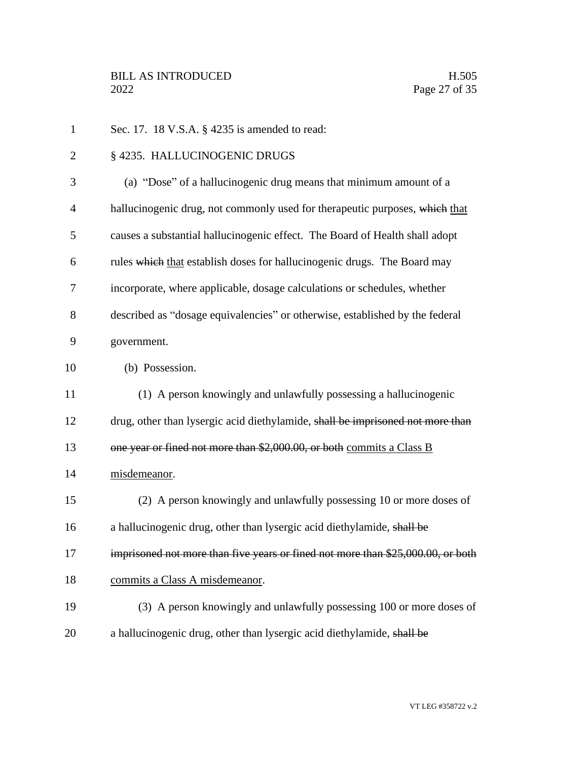| $\mathbf{1}$   | Sec. 17. 18 V.S.A. § 4235 is amended to read:                                   |
|----------------|---------------------------------------------------------------------------------|
| 2              | § 4235. HALLUCINOGENIC DRUGS                                                    |
| 3              | (a) "Dose" of a hallucinogenic drug means that minimum amount of a              |
| $\overline{4}$ | hallucinogenic drug, not commonly used for therapeutic purposes, which that     |
| 5              | causes a substantial hallucinogenic effect. The Board of Health shall adopt     |
| 6              | rules which that establish doses for hallucinogenic drugs. The Board may        |
| 7              | incorporate, where applicable, dosage calculations or schedules, whether        |
| 8              | described as "dosage equivalencies" or otherwise, established by the federal    |
| 9              | government.                                                                     |
| 10             | (b) Possession.                                                                 |
| 11             | (1) A person knowingly and unlawfully possessing a hallucinogenic               |
| 12             | drug, other than lysergic acid diethylamide, shall be imprisoned not more than  |
| 13             | one year or fined not more than \$2,000.00, or both commits a Class B           |
| 14             | misdemeanor.                                                                    |
| 15             | (2) A person knowingly and unlawfully possessing 10 or more doses of            |
| 16             | a hallucinogenic drug, other than lysergic acid diethylamide, shall be          |
| 17             | imprisoned not more than five years or fined not more than \$25,000.00, or both |
| 18             | commits a Class A misdemeanor.                                                  |
| 19             | (3) A person knowingly and unlawfully possessing 100 or more doses of           |
| 20             | a hallucinogenic drug, other than lysergic acid diethylamide, shall be          |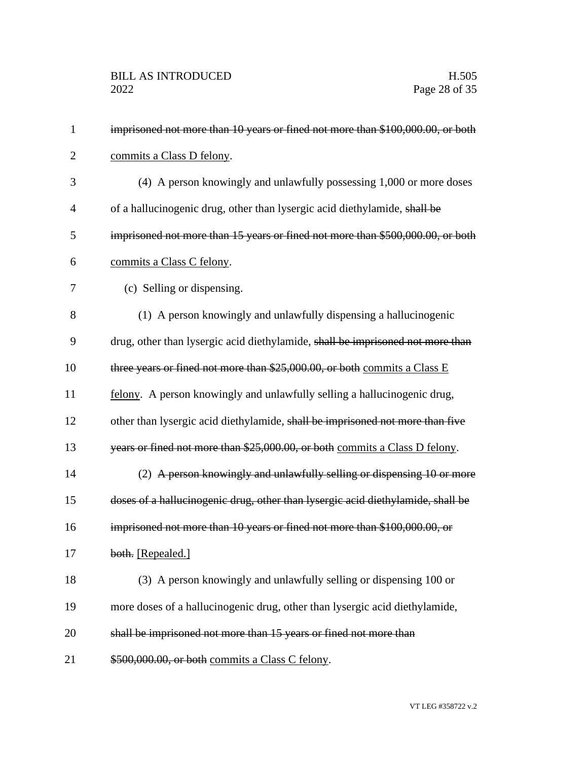| $\mathbf{1}$   | imprisoned not more than 10 years or fined not more than \$100,000.00, or both  |
|----------------|---------------------------------------------------------------------------------|
| $\overline{2}$ | commits a Class D felony.                                                       |
| 3              | (4) A person knowingly and unlawfully possessing 1,000 or more doses            |
| $\overline{4}$ | of a hallucinogenic drug, other than lysergic acid diethylamide, shall be       |
| 5              | imprisoned not more than 15 years or fined not more than \$500,000.00, or both  |
| 6              | commits a Class C felony.                                                       |
| 7              | (c) Selling or dispensing.                                                      |
| 8              | (1) A person knowingly and unlawfully dispensing a hallucinogenic               |
| 9              | drug, other than lysergic acid diethylamide, shall be imprisoned not more than  |
| 10             | three years or fined not more than \$25,000.00, or both commits a Class E       |
| 11             | felony. A person knowingly and unlawfully selling a hallucinogenic drug,        |
| 12             | other than lysergic acid diethylamide, shall be imprisoned not more than five   |
| 13             | years or fined not more than \$25,000.00, or both commits a Class D felony.     |
| 14             | (2) A person knowingly and unlawfully selling or dispensing 10 or more          |
| 15             | doses of a hallucinogenic drug, other than lysergic acid diethylamide, shall be |
| 16             | imprisoned not more than 10 years or fined not more than \$100,000.00, or       |
| 17             | both. [Repealed.]                                                               |
| 18             | (3) A person knowingly and unlawfully selling or dispensing 100 or              |
| 19             | more doses of a hallucinogenic drug, other than lysergic acid diethylamide,     |
| 20             | shall be imprisoned not more than 15 years or fined not more than               |
| 21             | \$500,000.00, or both commits a Class C felony.                                 |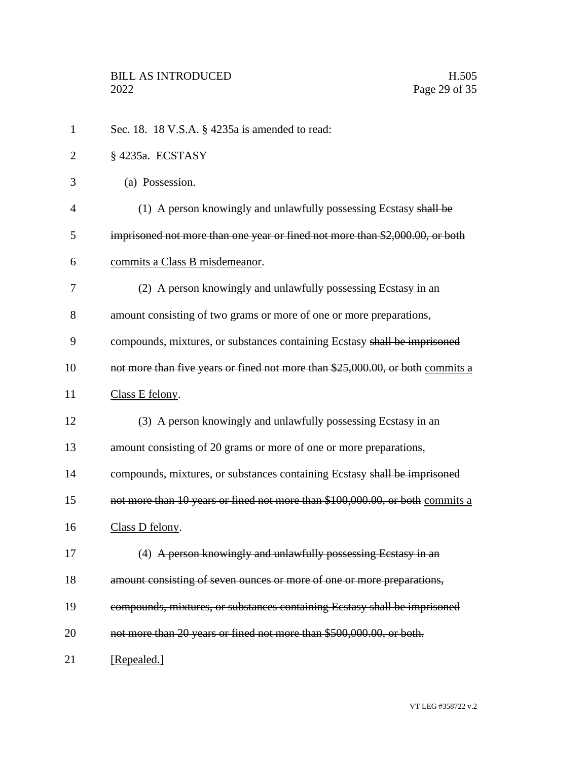| $\mathbf{1}$   | Sec. 18. 18 V.S.A. § 4235a is amended to read:                                 |
|----------------|--------------------------------------------------------------------------------|
| $\overline{2}$ | §4235a. ECSTASY                                                                |
| 3              | (a) Possession.                                                                |
| 4              | (1) A person knowingly and unlawfully possessing Ecstasy shall be              |
| 5              | imprisoned not more than one year or fined not more than \$2,000.00, or both   |
| 6              | commits a Class B misdemeanor.                                                 |
| 7              | (2) A person knowingly and unlawfully possessing Ecstasy in an                 |
| 8              | amount consisting of two grams or more of one or more preparations,            |
| 9              | compounds, mixtures, or substances containing Ecstasy shall be imprisoned      |
| 10             | not more than five years or fined not more than \$25,000.00, or both commits a |
| 11             | Class E felony.                                                                |
| 12             | (3) A person knowingly and unlawfully possessing Ecstasy in an                 |
| 13             | amount consisting of 20 grams or more of one or more preparations,             |
| 14             | compounds, mixtures, or substances containing Ecstasy shall be imprisoned      |
| 15             | not more than 10 years or fined not more than \$100,000.00, or both commits a  |
| 16             | Class D felony.                                                                |
| 17             | (4) A person knowingly and unlawfully possessing Ecstasy in an                 |
| 18             | amount consisting of seven ounces or more of one or more preparations,         |
| 19             | compounds, mixtures, or substances containing Ecstasy shall be imprisoned      |
| 20             | not more than 20 years or fined not more than \$500,000.00, or both.           |
| 21             | [Repealed.]                                                                    |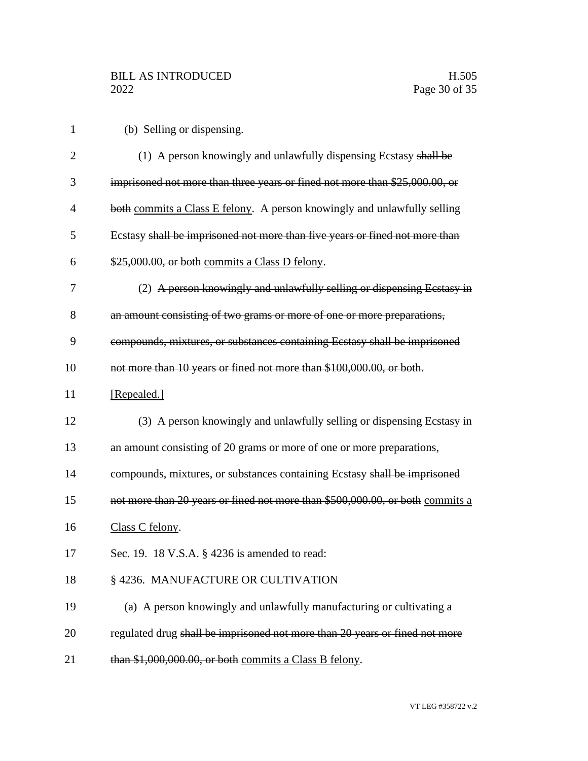| (b) Selling or dispensing. |
|----------------------------|
|----------------------------|

| $\overline{2}$ | (1) A person knowingly and unlawfully dispensing Ecstasy shall be             |
|----------------|-------------------------------------------------------------------------------|
| 3              | imprisoned not more than three years or fined not more than \$25,000.00, or   |
| 4              | both commits a Class E felony. A person knowingly and unlawfully selling      |
| 5              | Ecstasy shall be imprisoned not more than five years or fined not more than   |
| 6              | \$25,000.00, or both commits a Class D felony.                                |
| 7              | (2) A person knowingly and unlawfully selling or dispensing Eestasy in        |
| 8              | an amount consisting of two grams or more of one or more preparations,        |
| 9              | compounds, mixtures, or substances containing Ecstasy shall be imprisoned     |
| 10             | not more than 10 years or fined not more than \$100,000.00, or both.          |
| 11             | [Repealed.]                                                                   |
| 12             | (3) A person knowingly and unlawfully selling or dispensing Ecstasy in        |
| 13             | an amount consisting of 20 grams or more of one or more preparations,         |
| 14             | compounds, mixtures, or substances containing Ecstasy shall be imprisoned     |
| 15             | not more than 20 years or fined not more than \$500,000.00, or both commits a |
| 16             | Class C felony.                                                               |
| 17             | Sec. 19. 18 V.S.A. § 4236 is amended to read:                                 |
| 18             | § 4236. MANUFACTURE OR CULTIVATION                                            |
| 19             | (a) A person knowingly and unlawfully manufacturing or cultivating a          |
| 20             | regulated drug shall be imprisoned not more than 20 years or fined not more   |
| 21             | than \$1,000,000.00, or both commits a Class B felony.                        |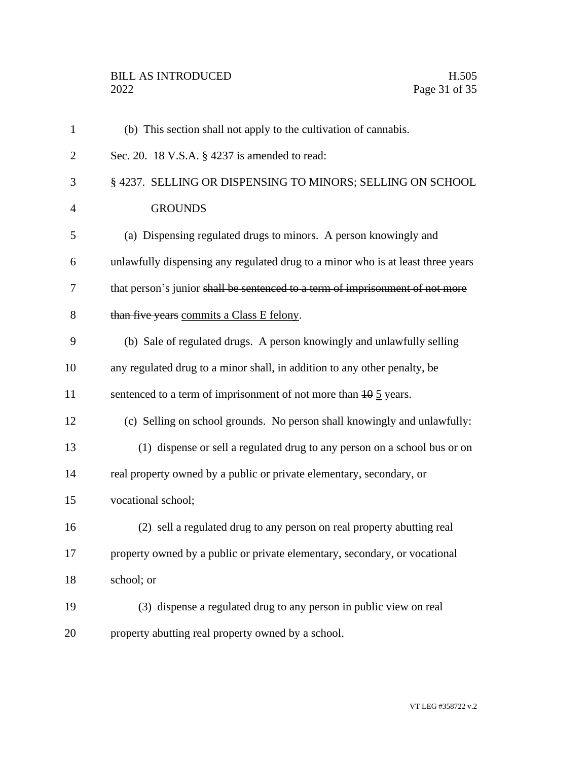| $\mathbf{1}$   | (b) This section shall not apply to the cultivation of cannabis.                |
|----------------|---------------------------------------------------------------------------------|
| $\overline{2}$ | Sec. 20. 18 V.S.A. § 4237 is amended to read:                                   |
| 3              | § 4237. SELLING OR DISPENSING TO MINORS; SELLING ON SCHOOL                      |
| $\overline{4}$ | <b>GROUNDS</b>                                                                  |
| 5              | (a) Dispensing regulated drugs to minors. A person knowingly and                |
| 6              | unlawfully dispensing any regulated drug to a minor who is at least three years |
| 7              | that person's junior shall be sentenced to a term of imprisonment of not more   |
| 8              | than five years commits a Class E felony.                                       |
| 9              | (b) Sale of regulated drugs. A person knowingly and unlawfully selling          |
| 10             | any regulated drug to a minor shall, in addition to any other penalty, be       |
| 11             | sentenced to a term of imprisonment of not more than $10\frac{5}{2}$ years.     |
| 12             | (c) Selling on school grounds. No person shall knowingly and unlawfully:        |
| 13             | (1) dispense or sell a regulated drug to any person on a school bus or on       |
| 14             | real property owned by a public or private elementary, secondary, or            |
| 15             | vocational school;                                                              |
| 16             | (2) sell a regulated drug to any person on real property abutting real          |
| 17             | property owned by a public or private elementary, secondary, or vocational      |
| 18             | school; or                                                                      |
| 19             | (3) dispense a regulated drug to any person in public view on real              |
| 20             | property abutting real property owned by a school.                              |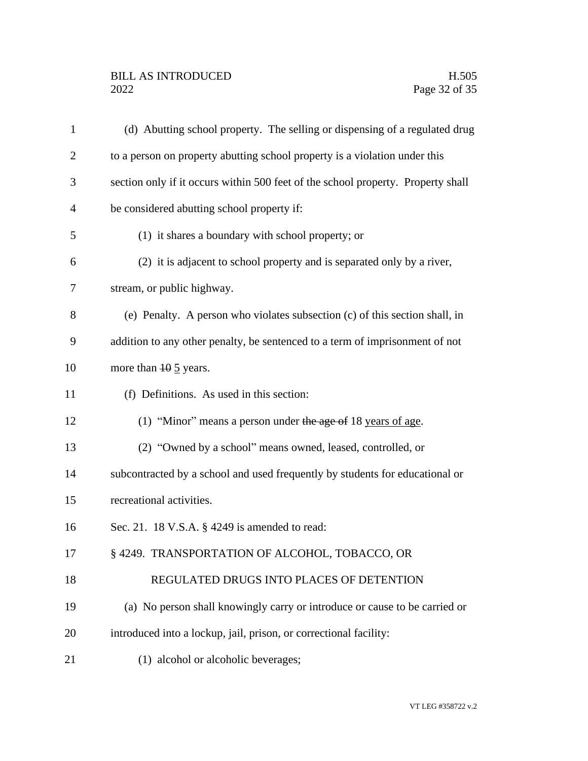| $\mathbf{1}$   | (d) Abutting school property. The selling or dispensing of a regulated drug      |
|----------------|----------------------------------------------------------------------------------|
| $\overline{2}$ | to a person on property abutting school property is a violation under this       |
| 3              | section only if it occurs within 500 feet of the school property. Property shall |
| $\overline{4}$ | be considered abutting school property if:                                       |
| 5              | (1) it shares a boundary with school property; or                                |
| 6              | (2) it is adjacent to school property and is separated only by a river,          |
| 7              | stream, or public highway.                                                       |
| 8              | (e) Penalty. A person who violates subsection (c) of this section shall, in      |
| 9              | addition to any other penalty, be sentenced to a term of imprisonment of not     |
| 10             | more than $10 \frac{5}{2}$ years.                                                |
| 11             | (f) Definitions. As used in this section:                                        |
| 12             | (1) "Minor" means a person under the age of 18 years of age.                     |
| 13             | (2) "Owned by a school" means owned, leased, controlled, or                      |
| 14             | subcontracted by a school and used frequently by students for educational or     |
| 15             | recreational activities.                                                         |
| 16             | Sec. 21. 18 V.S.A. § 4249 is amended to read:                                    |
| 17             | § 4249. TRANSPORTATION OF ALCOHOL, TOBACCO, OR                                   |
| 18             | REGULATED DRUGS INTO PLACES OF DETENTION                                         |
| 19             | (a) No person shall knowingly carry or introduce or cause to be carried or       |
| 20             | introduced into a lockup, jail, prison, or correctional facility:                |
| 21             | (1) alcohol or alcoholic beverages;                                              |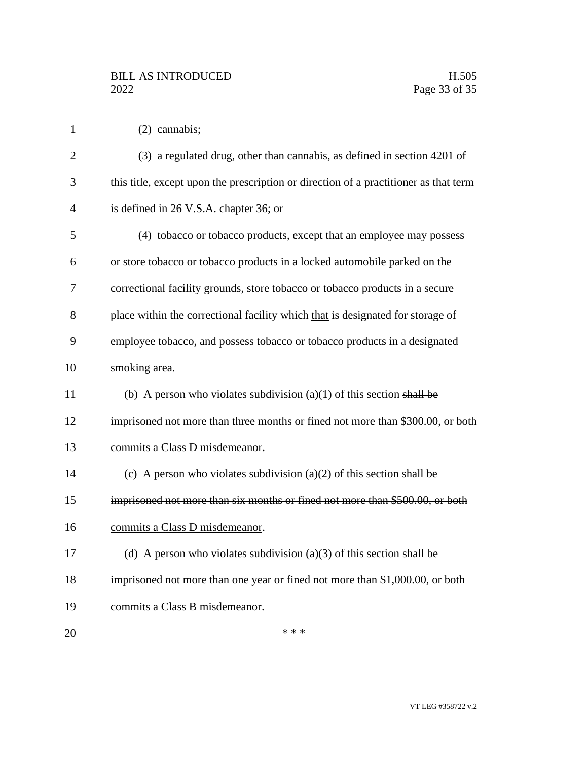|  |  | $(2)$ cannabis; |
|--|--|-----------------|
|--|--|-----------------|

| $\overline{2}$ | (3) a regulated drug, other than cannabis, as defined in section 4201 of             |
|----------------|--------------------------------------------------------------------------------------|
| 3              | this title, except upon the prescription or direction of a practitioner as that term |
| $\overline{4}$ | is defined in 26 V.S.A. chapter 36; or                                               |
| 5              | (4) tobacco or tobacco products, except that an employee may possess                 |
| 6              | or store tobacco or tobacco products in a locked automobile parked on the            |
| 7              | correctional facility grounds, store tobacco or tobacco products in a secure         |
| 8              | place within the correctional facility which that is designated for storage of       |
| 9              | employee tobacco, and possess tobacco or tobacco products in a designated            |
| 10             | smoking area.                                                                        |
| 11             | (b) A person who violates subdivision $(a)(1)$ of this section shall be              |
| 12             | imprisoned not more than three months or fined not more than \$300.00, or both       |
| 13             | commits a Class D misdemeanor.                                                       |
| 14             | (c) A person who violates subdivision (a) $(2)$ of this section shall be             |
| 15             | imprisoned not more than six months or fined not more than \$500.00, or both         |
| 16             | commits a Class D misdemeanor.                                                       |
| 17             | (d) A person who violates subdivision (a)(3) of this section shall be                |
| 18             | imprisoned not more than one year or fined not more than \$1,000.00, or both         |
| 19             | commits a Class B misdemeanor.                                                       |
| 20             | * * *                                                                                |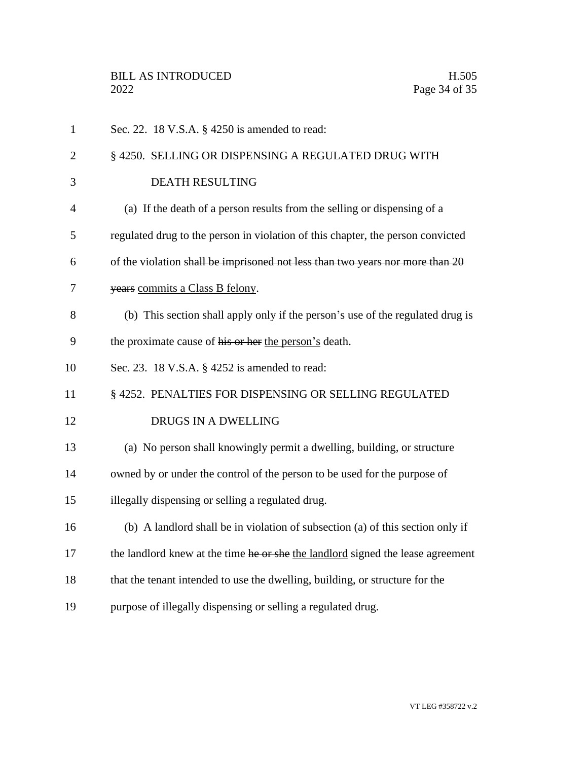| $\mathbf{1}$   | Sec. 22. 18 V.S.A. § 4250 is amended to read:                                   |
|----------------|---------------------------------------------------------------------------------|
| $\overline{2}$ | § 4250. SELLING OR DISPENSING A REGULATED DRUG WITH                             |
| 3              | <b>DEATH RESULTING</b>                                                          |
| $\overline{4}$ | (a) If the death of a person results from the selling or dispensing of a        |
| 5              | regulated drug to the person in violation of this chapter, the person convicted |
| 6              | of the violation shall be imprisoned not less than two years nor more than 20   |
| 7              | years commits a Class B felony.                                                 |
| 8              | (b) This section shall apply only if the person's use of the regulated drug is  |
| 9              | the proximate cause of his or her the person's death.                           |
| 10             | Sec. 23. 18 V.S.A. § 4252 is amended to read:                                   |
| 11             | § 4252. PENALTIES FOR DISPENSING OR SELLING REGULATED                           |
| 12             | DRUGS IN A DWELLING                                                             |
| 13             | (a) No person shall knowingly permit a dwelling, building, or structure         |
| 14             | owned by or under the control of the person to be used for the purpose of       |
| 15             | illegally dispensing or selling a regulated drug.                               |
| 16             | (b) A landlord shall be in violation of subsection (a) of this section only if  |
| 17             | the landlord knew at the time he or she the landlord signed the lease agreement |
| 18             | that the tenant intended to use the dwelling, building, or structure for the    |
| 19             | purpose of illegally dispensing or selling a regulated drug.                    |